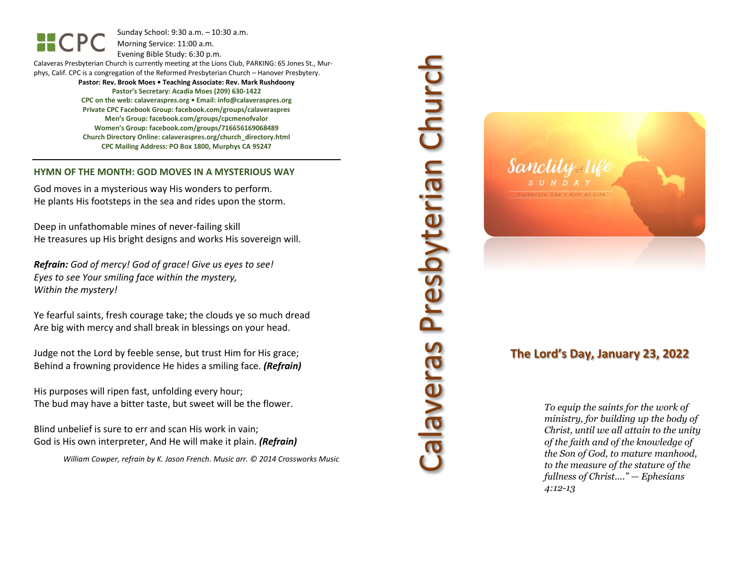Sunday School: 9: 3 0 a.m. – 10:30 a.m. Morning Service: 1 1 :00 a.m.

Evening Bible Study: 6: 30 p.m.

Calaveras Presbyterian Church is currently meeting at the Lions Club, PARKING: 65 Jones St., Murphys, Calif. CPC is a congregation of the Reformed Presbyterian Church – Hanover Presbytery.

> **Pastor: Rev. Brook Moes • Teaching Associate: Rev. Mark Rushdoony Pastor's Secretary: Acadia Moes (209) 630 -1422 CPC on the web: calaveraspres.org • Email: [info@calaveraspres.org](mailto:info@calaveraspres.org) Private CPC Facebook Group: facebook.com/groups/calaveraspres Men's Group: facebook.com/groups/cpcmenofvalor Women's Group: facebook.com/groups/716656169068489 Church Directory Online: calaveraspres.org/church \_directory.html CPC Mailing Address: PO Box 1800, Murphys CA 95247**

#### **HYMN OF THE MONTH: GOD MOVES IN A MYSTERIOUS WAY**

God moves in a mysterious way His wonders to perform. He plants His footsteps in the sea and rides upon the storm.

Deep in unfathomable mines of never -failing skill He treasures up His bright designs and works His sovereign will.

*Refrain: God of mercy! God of grace! Give us eyes to see! Eyes to see Your smiling face within the mystery, Within the mystery!*

Ye fearful saints, fresh courage take; the clouds ye so much dread Are big with mercy and shall break in blessings on your head .

Judge not the Lord by feeble sense, but trust Him for His grace; Behind a frowning providence He hides a smiling face. *(Refrain)*

His purposes will ripen fast, unfolding every hour; The bud may have a bitter taste, but sweet will be the flower.

Blind unbelief is sure to err and scan His work in vain; God is His own interpreter, And He will make it plain. *(Refrain)*

*William Cowper, refrain by K. Jason French . Music arr. © 2014 Crossworks Music* 

Calaveras Presbyterian Church **Presbyterian Churc** seuavele?



## **The Lord's Day, January 23, 202 2**

*To equip the saints for the work of ministry, for building up the body of Christ, until we all attain to the unity of the faith and of the knowledge of the Son of God, to mature manhood, to the measure of the stature of the fullness of Christ…." — Ephesians 4:12 -13*